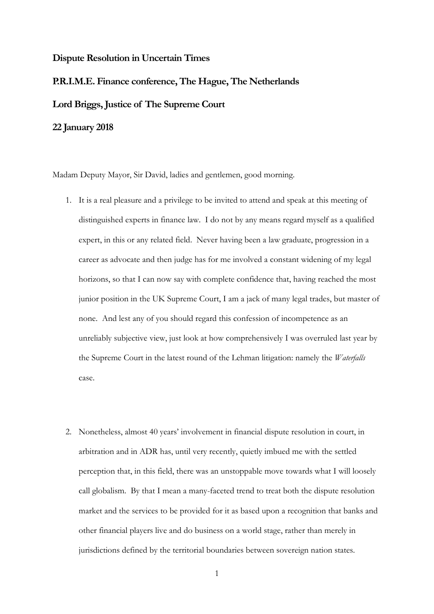## **Dispute Resolution in Uncertain Times**

# **P.R.I.M.E. Finance conference, The Hague, The Netherlands Lord Briggs, Justice of The Supreme Court 22 January 2018**

Madam Deputy Mayor, Sir David, ladies and gentlemen, good morning.

- 1. It is a real pleasure and a privilege to be invited to attend and speak at this meeting of distinguished experts in finance law. I do not by any means regard myself as a qualified expert, in this or any related field. Never having been a law graduate, progression in a career as advocate and then judge has for me involved a constant widening of my legal horizons, so that I can now say with complete confidence that, having reached the most junior position in the UK Supreme Court, I am a jack of many legal trades, but master of none. And lest any of you should regard this confession of incompetence as an unreliably subjective view, just look at how comprehensively I was overruled last year by the Supreme Court in the latest round of the Lehman litigation: namely the *Waterfalls*  case.
- 2. Nonetheless, almost 40 years' involvement in financial dispute resolution in court, in arbitration and in ADR has, until very recently, quietly imbued me with the settled perception that, in this field, there was an unstoppable move towards what I will loosely call globalism. By that I mean a many-faceted trend to treat both the dispute resolution market and the services to be provided for it as based upon a recognition that banks and other financial players live and do business on a world stage, rather than merely in jurisdictions defined by the territorial boundaries between sovereign nation states.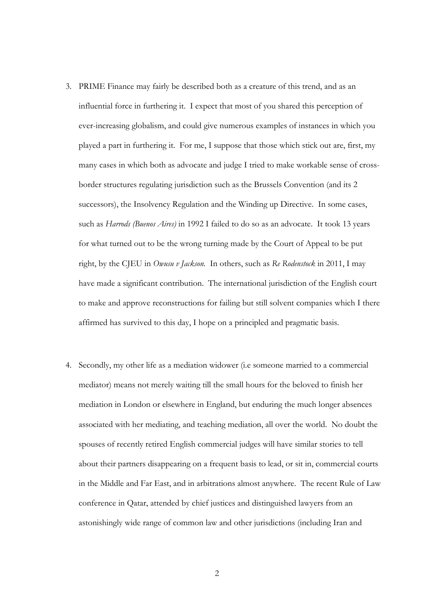- 3. PRIME Finance may fairly be described both as a creature of this trend, and as an influential force in furthering it. I expect that most of you shared this perception of ever-increasing globalism, and could give numerous examples of instances in which you played a part in furthering it. For me, I suppose that those which stick out are, first, my many cases in which both as advocate and judge I tried to make workable sense of crossborder structures regulating jurisdiction such as the Brussels Convention (and its 2 successors), the Insolvency Regulation and the Winding up Directive. In some cases, such as *Harrods (Buenos Aires)* in 1992 I failed to do so as an advocate. It took 13 years for what turned out to be the wrong turning made by the Court of Appeal to be put right, by the CJEU in *Owusu v Jackson.* In others, such as *Re Rodenstock* in 2011, I may have made a significant contribution. The international jurisdiction of the English court to make and approve reconstructions for failing but still solvent companies which I there affirmed has survived to this day, I hope on a principled and pragmatic basis.
- 4. Secondly, my other life as a mediation widower (i.e someone married to a commercial mediator) means not merely waiting till the small hours for the beloved to finish her mediation in London or elsewhere in England, but enduring the much longer absences associated with her mediating, and teaching mediation, all over the world. No doubt the spouses of recently retired English commercial judges will have similar stories to tell about their partners disappearing on a frequent basis to lead, or sit in, commercial courts in the Middle and Far East, and in arbitrations almost anywhere. The recent Rule of Law conference in Qatar, attended by chief justices and distinguished lawyers from an astonishingly wide range of common law and other jurisdictions (including Iran and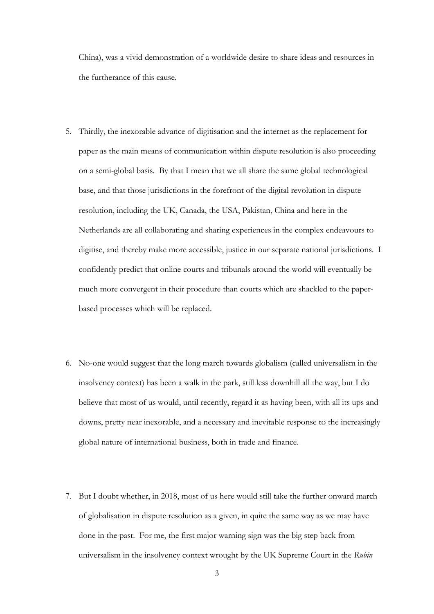China), was a vivid demonstration of a worldwide desire to share ideas and resources in the furtherance of this cause.

- 5. Thirdly, the inexorable advance of digitisation and the internet as the replacement for paper as the main means of communication within dispute resolution is also proceeding on a semi-global basis. By that I mean that we all share the same global technological base, and that those jurisdictions in the forefront of the digital revolution in dispute resolution, including the UK, Canada, the USA, Pakistan, China and here in the Netherlands are all collaborating and sharing experiences in the complex endeavours to digitise, and thereby make more accessible, justice in our separate national jurisdictions. I confidently predict that online courts and tribunals around the world will eventually be much more convergent in their procedure than courts which are shackled to the paperbased processes which will be replaced.
- 6. No-one would suggest that the long march towards globalism (called universalism in the insolvency context) has been a walk in the park, still less downhill all the way, but I do believe that most of us would, until recently, regard it as having been, with all its ups and downs, pretty near inexorable, and a necessary and inevitable response to the increasingly global nature of international business, both in trade and finance.
- 7. But I doubt whether, in 2018, most of us here would still take the further onward march of globalisation in dispute resolution as a given, in quite the same way as we may have done in the past. For me, the first major warning sign was the big step back from universalism in the insolvency context wrought by the UK Supreme Court in the *Rubin*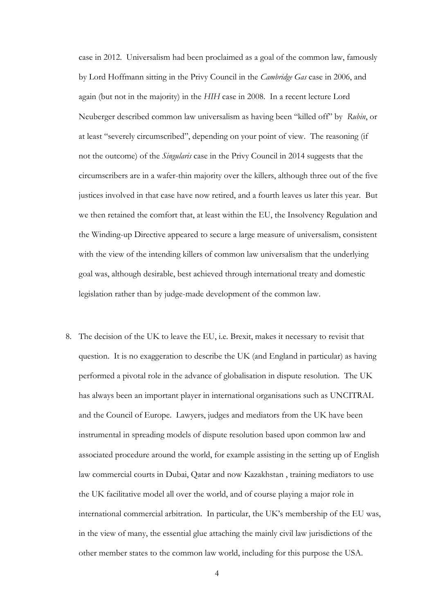case in 2012. Universalism had been proclaimed as a goal of the common law, famously by Lord Hoffmann sitting in the Privy Council in the *Cambridge Gas* case in 2006, and again (but not in the majority) in the *HIH* case in 2008. In a recent lecture Lord Neuberger described common law universalism as having been "killed off" by *Rubin*, or at least "severely circumscribed", depending on your point of view. The reasoning (if not the outcome) of the *Singularis* case in the Privy Council in 2014 suggests that the circumscribers are in a wafer-thin majority over the killers, although three out of the five justices involved in that case have now retired, and a fourth leaves us later this year. But we then retained the comfort that, at least within the EU, the Insolvency Regulation and the Winding-up Directive appeared to secure a large measure of universalism, consistent with the view of the intending killers of common law universalism that the underlying goal was, although desirable, best achieved through international treaty and domestic legislation rather than by judge-made development of the common law.

8. The decision of the UK to leave the EU, i.e. Brexit, makes it necessary to revisit that question. It is no exaggeration to describe the UK (and England in particular) as having performed a pivotal role in the advance of globalisation in dispute resolution. The UK has always been an important player in international organisations such as UNCITRAL and the Council of Europe. Lawyers, judges and mediators from the UK have been instrumental in spreading models of dispute resolution based upon common law and associated procedure around the world, for example assisting in the setting up of English law commercial courts in Dubai, Qatar and now Kazakhstan , training mediators to use the UK facilitative model all over the world, and of course playing a major role in international commercial arbitration. In particular, the UK's membership of the EU was, in the view of many, the essential glue attaching the mainly civil law jurisdictions of the other member states to the common law world, including for this purpose the USA.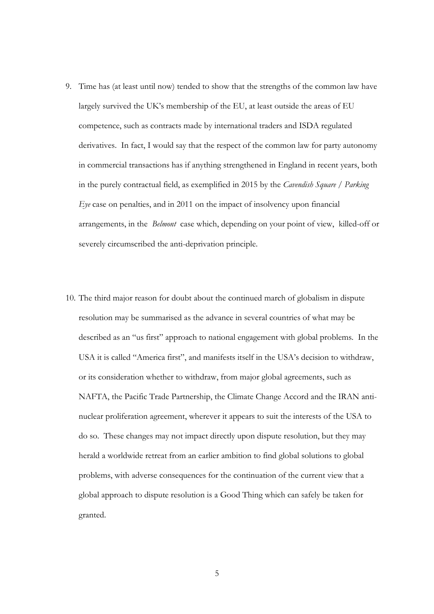- 9. Time has (at least until now) tended to show that the strengths of the common law have largely survived the UK's membership of the EU, at least outside the areas of EU competence, such as contracts made by international traders and ISDA regulated derivatives. In fact, I would say that the respect of the common law for party autonomy in commercial transactions has if anything strengthened in England in recent years, both in the purely contractual field, as exemplified in 2015 by the *Cavendish Square / Parking Eye* case on penalties, and in 2011 on the impact of insolvency upon financial arrangements, in the *Belmont* case which, depending on your point of view, killed-off or severely circumscribed the anti-deprivation principle.
- 10. The third major reason for doubt about the continued march of globalism in dispute resolution may be summarised as the advance in several countries of what may be described as an "us first" approach to national engagement with global problems. In the USA it is called "America first", and manifests itself in the USA's decision to withdraw, or its consideration whether to withdraw, from major global agreements, such as NAFTA, the Pacific Trade Partnership, the Climate Change Accord and the IRAN antinuclear proliferation agreement, wherever it appears to suit the interests of the USA to do so. These changes may not impact directly upon dispute resolution, but they may herald a worldwide retreat from an earlier ambition to find global solutions to global problems, with adverse consequences for the continuation of the current view that a global approach to dispute resolution is a Good Thing which can safely be taken for granted.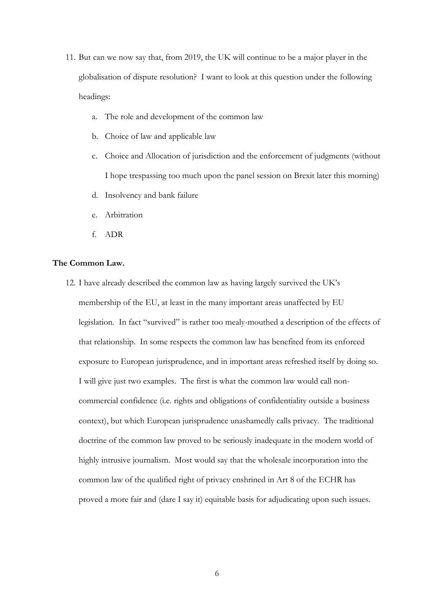- 11. But can we now say that, from 2019, the UK will continue to be a major player in the globalisation of dispute resolution? I want to look at this question under the following headings:
	- a. The role and development of the common law
	- b. Choice of law and applicable law
	- c. Choice and Allocation of jurisdiction and the enforcement of judgments (without I hope trespassing too much upon the panel session on Brexit later this morning)
	- d. Insolvency and bank failure
	- e. Arbitration
	- f. ADR

## **The Common Law.**

12. I have already described the common law as having largely survived the UK's membership of the EU, at least in the many important areas unaffected by EU legislation. In fact "survived" is rather too mealy-mouthed a description of the effects of that relationship. In some respects the common law has benefited from its enforced exposure to European jurisprudence, and in important areas refreshed itself by doing so. I will give just two examples. The first is what the common law would call noncommercial confidence (i.e. rights and obligations of confidentiality outside a business context), but which European jurisprudence unashamedly calls privacy. The traditional doctrine of the common law proved to be seriously inadequate in the modern world of highly intrusive journalism. Most would say that the wholesale incorporation into the common law of the qualified right of privacy enshrined in Art 8 of the ECHR has proved a more fair and (dare I say it) equitable basis for adjudicating upon such issues.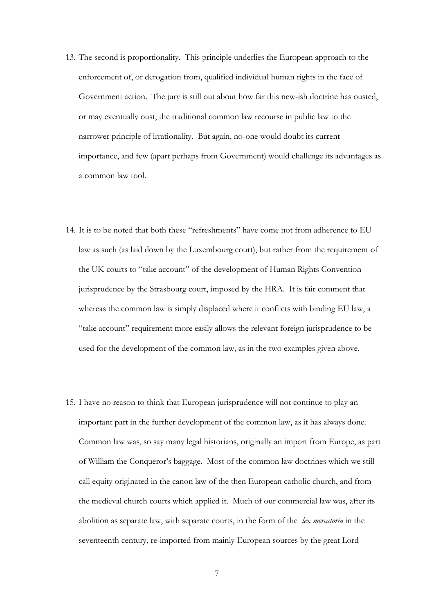- 13. The second is proportionality. This principle underlies the European approach to the enforcement of, or derogation from, qualified individual human rights in the face of Government action. The jury is still out about how far this new-ish doctrine has ousted, or may eventually oust, the traditional common law recourse in public law to the narrower principle of irrationality. But again, no-one would doubt its current importance, and few (apart perhaps from Government) would challenge its advantages as a common law tool.
- 14. It is to be noted that both these "refreshments" have come not from adherence to EU law as such (as laid down by the Luxembourg court), but rather from the requirement of the UK courts to "take account" of the development of Human Rights Convention jurisprudence by the Strasbourg court, imposed by the HRA. It is fair comment that whereas the common law is simply displaced where it conflicts with binding EU law, a "take account" requirement more easily allows the relevant foreign jurisprudence to be used for the development of the common law, as in the two examples given above.
- 15. I have no reason to think that European jurisprudence will not continue to play an important part in the further development of the common law, as it has always done. Common law was, so say many legal historians, originally an import from Europe, as part of William the Conqueror's baggage. Most of the common law doctrines which we still call equity originated in the canon law of the then European catholic church, and from the medieval church courts which applied it. Much of our commercial law was, after its abolition as separate law, with separate courts, in the form of the *lex mercatoria* in the seventeenth century, re-imported from mainly European sources by the great Lord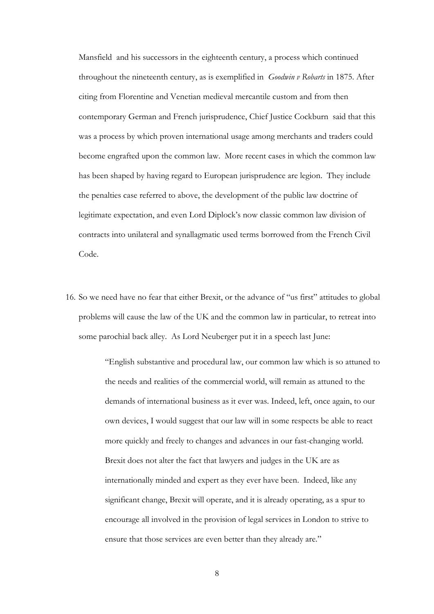Mansfield and his successors in the eighteenth century, a process which continued throughout the nineteenth century, as is exemplified in *Goodwin v Robarts* in 1875. After citing from Florentine and Venetian medieval mercantile custom and from then contemporary German and French jurisprudence, Chief Justice Cockburn said that this was a process by which proven international usage among merchants and traders could become engrafted upon the common law. More recent cases in which the common law has been shaped by having regard to European jurisprudence are legion. They include the penalties case referred to above, the development of the public law doctrine of legitimate expectation, and even Lord Diplock's now classic common law division of contracts into unilateral and synallagmatic used terms borrowed from the French Civil Code.

16. So we need have no fear that either Brexit, or the advance of "us first" attitudes to global problems will cause the law of the UK and the common law in particular, to retreat into some parochial back alley. As Lord Neuberger put it in a speech last June:

> "English substantive and procedural law, our common law which is so attuned to the needs and realities of the commercial world, will remain as attuned to the demands of international business as it ever was. Indeed, left, once again, to our own devices, I would suggest that our law will in some respects be able to react more quickly and freely to changes and advances in our fast-changing world. Brexit does not alter the fact that lawyers and judges in the UK are as internationally minded and expert as they ever have been. Indeed, like any significant change, Brexit will operate, and it is already operating, as a spur to encourage all involved in the provision of legal services in London to strive to ensure that those services are even better than they already are."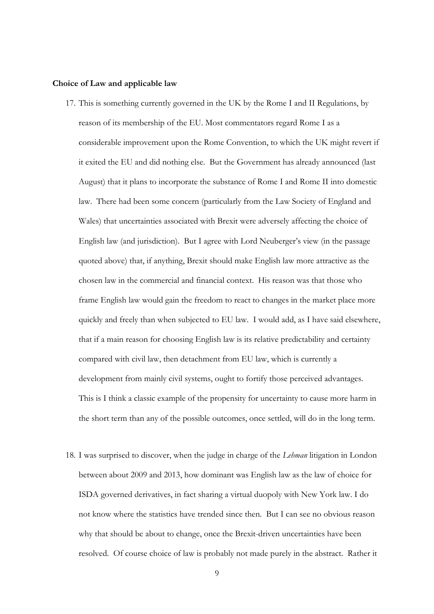#### **Choice of Law and applicable law**

- 17. This is something currently governed in the UK by the Rome I and II Regulations, by reason of its membership of the EU. Most commentators regard Rome I as a considerable improvement upon the Rome Convention, to which the UK might revert if it exited the EU and did nothing else. But the Government has already announced (last August) that it plans to incorporate the substance of Rome I and Rome II into domestic law. There had been some concern (particularly from the Law Society of England and Wales) that uncertainties associated with Brexit were adversely affecting the choice of English law (and jurisdiction). But I agree with Lord Neuberger's view (in the passage quoted above) that, if anything, Brexit should make English law more attractive as the chosen law in the commercial and financial context. His reason was that those who frame English law would gain the freedom to react to changes in the market place more quickly and freely than when subjected to EU law. I would add, as I have said elsewhere, that if a main reason for choosing English law is its relative predictability and certainty compared with civil law, then detachment from EU law, which is currently a development from mainly civil systems, ought to fortify those perceived advantages. This is I think a classic example of the propensity for uncertainty to cause more harm in the short term than any of the possible outcomes, once settled, will do in the long term.
- 18. I was surprised to discover, when the judge in charge of the *Lehman* litigation in London between about 2009 and 2013, how dominant was English law as the law of choice for ISDA governed derivatives, in fact sharing a virtual duopoly with New York law. I do not know where the statistics have trended since then. But I can see no obvious reason why that should be about to change, once the Brexit-driven uncertainties have been resolved. Of course choice of law is probably not made purely in the abstract. Rather it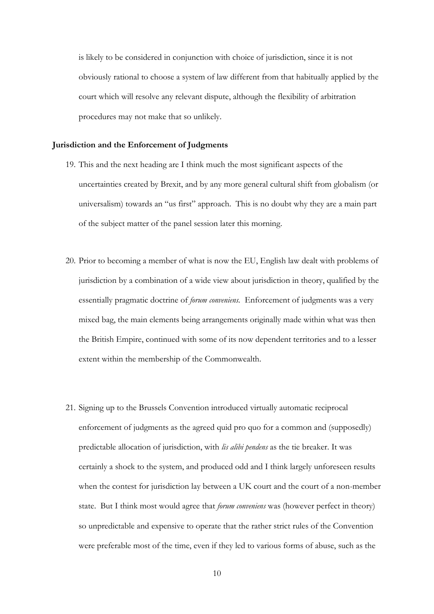is likely to be considered in conjunction with choice of jurisdiction, since it is not obviously rational to choose a system of law different from that habitually applied by the court which will resolve any relevant dispute, although the flexibility of arbitration procedures may not make that so unlikely.

### **Jurisdiction and the Enforcement of Judgments**

- 19. This and the next heading are I think much the most significant aspects of the uncertainties created by Brexit, and by any more general cultural shift from globalism (or universalism) towards an "us first" approach. This is no doubt why they are a main part of the subject matter of the panel session later this morning.
- 20. Prior to becoming a member of what is now the EU, English law dealt with problems of jurisdiction by a combination of a wide view about jurisdiction in theory, qualified by the essentially pragmatic doctrine of *forum conveniens.* Enforcement of judgments was a very mixed bag, the main elements being arrangements originally made within what was then the British Empire, continued with some of its now dependent territories and to a lesser extent within the membership of the Commonwealth.
- 21. Signing up to the Brussels Convention introduced virtually automatic reciprocal enforcement of judgments as the agreed quid pro quo for a common and (supposedly) predictable allocation of jurisdiction, with *lis alibi pendens* as the tie breaker. It was certainly a shock to the system, and produced odd and I think largely unforeseen results when the contest for jurisdiction lay between a UK court and the court of a non-member state. But I think most would agree that *forum conveniens* was (however perfect in theory) so unpredictable and expensive to operate that the rather strict rules of the Convention were preferable most of the time, even if they led to various forms of abuse, such as the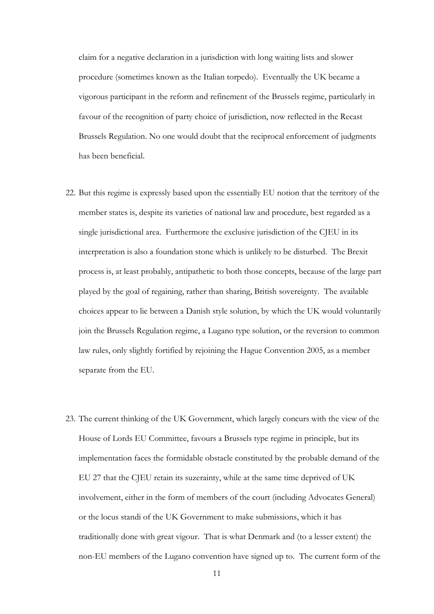claim for a negative declaration in a jurisdiction with long waiting lists and slower procedure (sometimes known as the Italian torpedo). Eventually the UK became a vigorous participant in the reform and refinement of the Brussels regime, particularly in favour of the recognition of party choice of jurisdiction, now reflected in the Recast Brussels Regulation. No one would doubt that the reciprocal enforcement of judgments has been beneficial.

- 22. But this regime is expressly based upon the essentially EU notion that the territory of the member states is, despite its varieties of national law and procedure, best regarded as a single jurisdictional area. Furthermore the exclusive jurisdiction of the CJEU in its interpretation is also a foundation stone which is unlikely to be disturbed. The Brexit process is, at least probably, antipathetic to both those concepts, because of the large part played by the goal of regaining, rather than sharing, British sovereignty. The available choices appear to lie between a Danish style solution, by which the UK would voluntarily join the Brussels Regulation regime, a Lugano type solution, or the reversion to common law rules, only slightly fortified by rejoining the Hague Convention 2005, as a member separate from the EU.
- 23. The current thinking of the UK Government, which largely concurs with the view of the House of Lords EU Committee, favours a Brussels type regime in principle, but its implementation faces the formidable obstacle constituted by the probable demand of the EU 27 that the CJEU retain its suzerainty, while at the same time deprived of UK involvement, either in the form of members of the court (including Advocates General) or the locus standi of the UK Government to make submissions, which it has traditionally done with great vigour. That is what Denmark and (to a lesser extent) the non-EU members of the Lugano convention have signed up to. The current form of the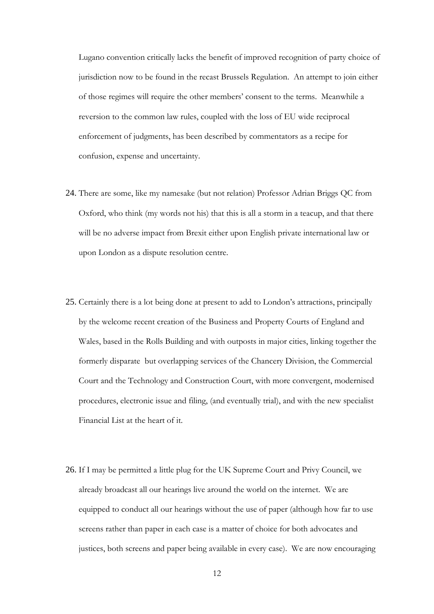Lugano convention critically lacks the benefit of improved recognition of party choice of jurisdiction now to be found in the recast Brussels Regulation. An attempt to join either of those regimes will require the other members' consent to the terms. Meanwhile a reversion to the common law rules, coupled with the loss of EU wide reciprocal enforcement of judgments, has been described by commentators as a recipe for confusion, expense and uncertainty.

- 24. There are some, like my namesake (but not relation) Professor Adrian Briggs QC from Oxford, who think (my words not his) that this is all a storm in a teacup, and that there will be no adverse impact from Brexit either upon English private international law or upon London as a dispute resolution centre.
- 25. Certainly there is a lot being done at present to add to London's attractions, principally by the welcome recent creation of the Business and Property Courts of England and Wales, based in the Rolls Building and with outposts in major cities, linking together the formerly disparate but overlapping services of the Chancery Division, the Commercial Court and the Technology and Construction Court, with more convergent, modernised procedures, electronic issue and filing, (and eventually trial), and with the new specialist Financial List at the heart of it.
- 26. If I may be permitted a little plug for the UK Supreme Court and Privy Council, we already broadcast all our hearings live around the world on the internet. We are equipped to conduct all our hearings without the use of paper (although how far to use screens rather than paper in each case is a matter of choice for both advocates and justices, both screens and paper being available in every case). We are now encouraging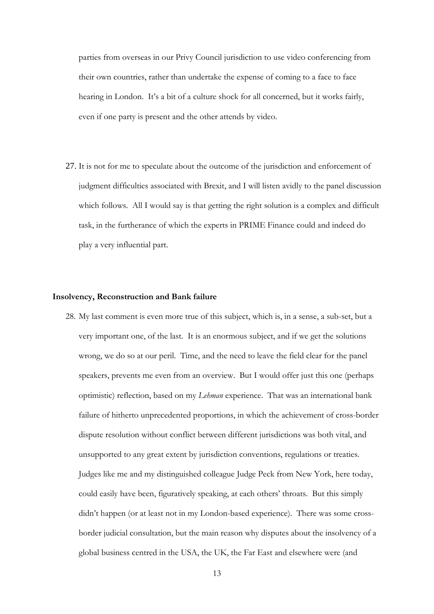parties from overseas in our Privy Council jurisdiction to use video conferencing from their own countries, rather than undertake the expense of coming to a face to face hearing in London. It's a bit of a culture shock for all concerned, but it works fairly, even if one party is present and the other attends by video.

27. It is not for me to speculate about the outcome of the jurisdiction and enforcement of judgment difficulties associated with Brexit, and I will listen avidly to the panel discussion which follows. All I would say is that getting the right solution is a complex and difficult task, in the furtherance of which the experts in PRIME Finance could and indeed do play a very influential part.

## **Insolvency, Reconstruction and Bank failure**

28. My last comment is even more true of this subject, which is, in a sense, a sub-set, but a very important one, of the last. It is an enormous subject, and if we get the solutions wrong, we do so at our peril. Time, and the need to leave the field clear for the panel speakers, prevents me even from an overview. But I would offer just this one (perhaps optimistic) reflection, based on my *Lehman* experience. That was an international bank failure of hitherto unprecedented proportions, in which the achievement of cross-border dispute resolution without conflict between different jurisdictions was both vital, and unsupported to any great extent by jurisdiction conventions, regulations or treaties. Judges like me and my distinguished colleague Judge Peck from New York, here today, could easily have been, figuratively speaking, at each others' throats. But this simply didn't happen (or at least not in my London-based experience). There was some crossborder judicial consultation, but the main reason why disputes about the insolvency of a global business centred in the USA, the UK, the Far East and elsewhere were (and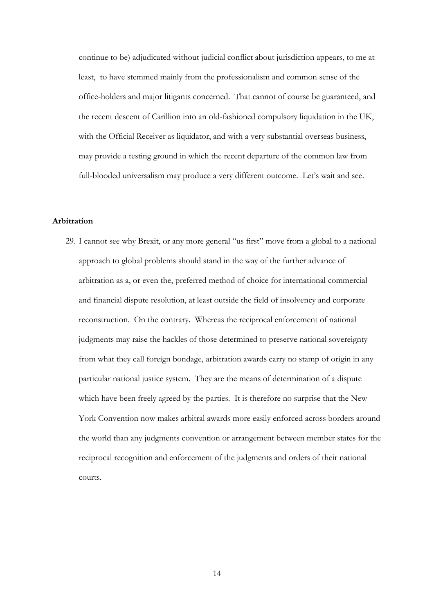continue to be) adjudicated without judicial conflict about jurisdiction appears, to me at least, to have stemmed mainly from the professionalism and common sense of the office-holders and major litigants concerned. That cannot of course be guaranteed, and the recent descent of Carillion into an old-fashioned compulsory liquidation in the UK, with the Official Receiver as liquidator, and with a very substantial overseas business, may provide a testing ground in which the recent departure of the common law from full-blooded universalism may produce a very different outcome. Let's wait and see.

# **Arbitration**

29. I cannot see why Brexit, or any more general "us first" move from a global to a national approach to global problems should stand in the way of the further advance of arbitration as a, or even the, preferred method of choice for international commercial and financial dispute resolution, at least outside the field of insolvency and corporate reconstruction. On the contrary. Whereas the reciprocal enforcement of national judgments may raise the hackles of those determined to preserve national sovereignty from what they call foreign bondage, arbitration awards carry no stamp of origin in any particular national justice system. They are the means of determination of a dispute which have been freely agreed by the parties. It is therefore no surprise that the New York Convention now makes arbitral awards more easily enforced across borders around the world than any judgments convention or arrangement between member states for the reciprocal recognition and enforcement of the judgments and orders of their national courts.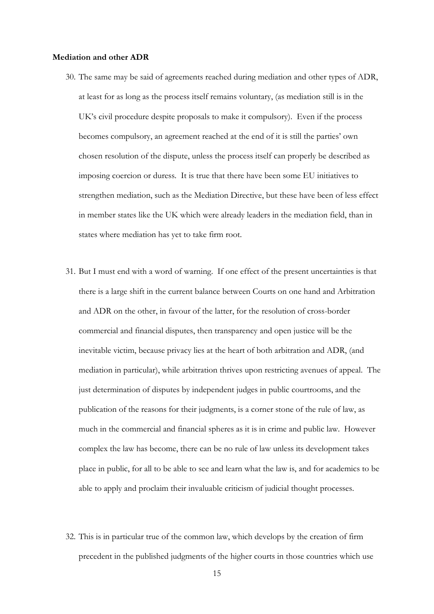#### **Mediation and other ADR**

- 30. The same may be said of agreements reached during mediation and other types of ADR, at least for as long as the process itself remains voluntary, (as mediation still is in the UK's civil procedure despite proposals to make it compulsory). Even if the process becomes compulsory, an agreement reached at the end of it is still the parties' own chosen resolution of the dispute, unless the process itself can properly be described as imposing coercion or duress. It is true that there have been some EU initiatives to strengthen mediation, such as the Mediation Directive, but these have been of less effect in member states like the UK which were already leaders in the mediation field, than in states where mediation has yet to take firm root.
- 31. But I must end with a word of warning. If one effect of the present uncertainties is that there is a large shift in the current balance between Courts on one hand and Arbitration and ADR on the other, in favour of the latter, for the resolution of cross-border commercial and financial disputes, then transparency and open justice will be the inevitable victim, because privacy lies at the heart of both arbitration and ADR, (and mediation in particular), while arbitration thrives upon restricting avenues of appeal. The just determination of disputes by independent judges in public courtrooms, and the publication of the reasons for their judgments, is a corner stone of the rule of law, as much in the commercial and financial spheres as it is in crime and public law. However complex the law has become, there can be no rule of law unless its development takes place in public, for all to be able to see and learn what the law is, and for academics to be able to apply and proclaim their invaluable criticism of judicial thought processes.
- 32. This is in particular true of the common law, which develops by the creation of firm precedent in the published judgments of the higher courts in those countries which use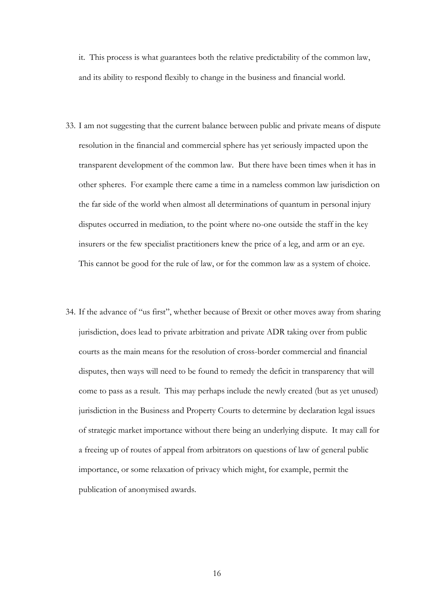it. This process is what guarantees both the relative predictability of the common law, and its ability to respond flexibly to change in the business and financial world.

- 33. I am not suggesting that the current balance between public and private means of dispute resolution in the financial and commercial sphere has yet seriously impacted upon the transparent development of the common law. But there have been times when it has in other spheres. For example there came a time in a nameless common law jurisdiction on the far side of the world when almost all determinations of quantum in personal injury disputes occurred in mediation, to the point where no-one outside the staff in the key insurers or the few specialist practitioners knew the price of a leg, and arm or an eye. This cannot be good for the rule of law, or for the common law as a system of choice.
- 34. If the advance of "us first", whether because of Brexit or other moves away from sharing jurisdiction, does lead to private arbitration and private ADR taking over from public courts as the main means for the resolution of cross-border commercial and financial disputes, then ways will need to be found to remedy the deficit in transparency that will come to pass as a result. This may perhaps include the newly created (but as yet unused) jurisdiction in the Business and Property Courts to determine by declaration legal issues of strategic market importance without there being an underlying dispute. It may call for a freeing up of routes of appeal from arbitrators on questions of law of general public importance, or some relaxation of privacy which might, for example, permit the publication of anonymised awards.